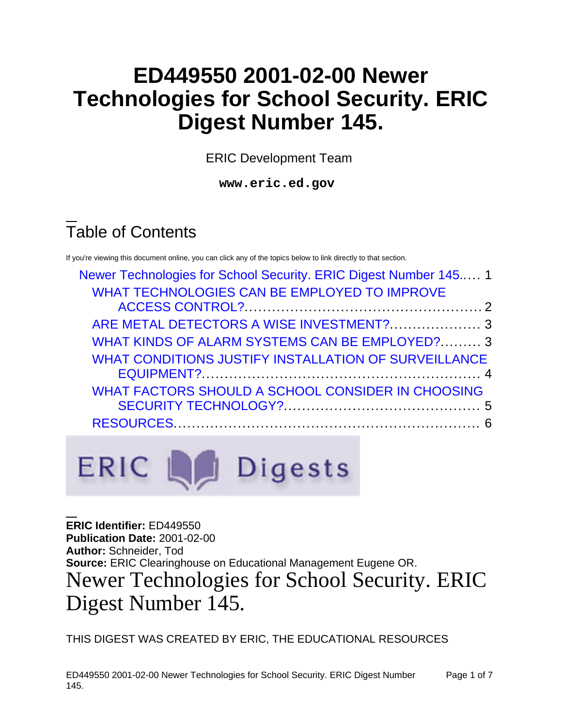# **ED449550 2001-02-00 Newer Technologies for School Security. ERIC Digest Number 145.**

ERIC Development Team

**www.eric.ed.gov**

# Table of Contents

If you're viewing this document online, you can click any of the topics below to link directly to that section.

| Newer Technologies for School Security. ERIC Digest Number 145 1 |  |
|------------------------------------------------------------------|--|
| WHAT TECHNOLOGIES CAN BE EMPLOYED TO IMPROVE                     |  |
|                                                                  |  |
| ARE METAL DETECTORS A WISE INVESTMENT?  3                        |  |
| WHAT KINDS OF ALARM SYSTEMS CAN BE EMPLOYED? 3                   |  |
| WHAT CONDITIONS JUSTIFY INSTALLATION OF SURVEILLANCE             |  |
|                                                                  |  |
| WHAT FACTORS SHOULD A SCHOOL CONSIDER IN CHOOSING                |  |
|                                                                  |  |
|                                                                  |  |
|                                                                  |  |



<span id="page-0-0"></span>**ERIC Identifier:** ED449550 **Publication Date:** 2001-02-00 **Author:** Schneider, Tod **Source:** ERIC Clearinghouse on Educational Management Eugene OR. Newer Technologies for School Security. ERIC Digest Number 145.

THIS DIGEST WAS CREATED BY ERIC, THE EDUCATIONAL RESOURCES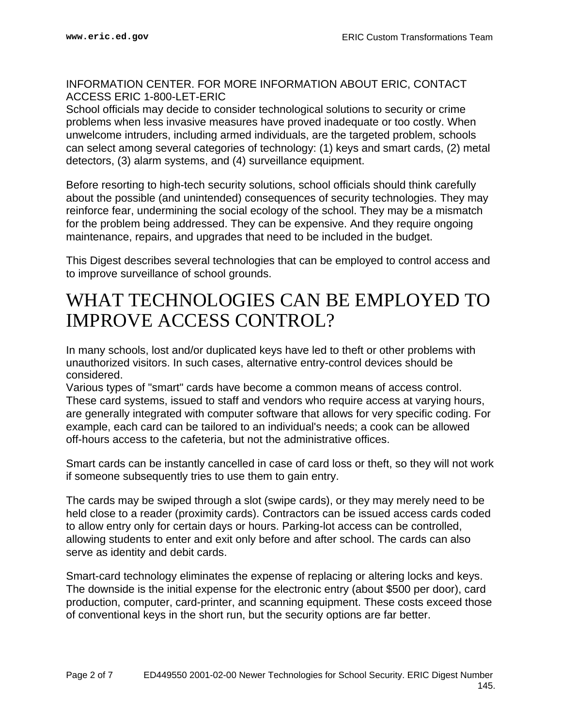#### INFORMATION CENTER. FOR MORE INFORMATION ABOUT ERIC, CONTACT ACCESS ERIC 1-800-LET-ERIC

School officials may decide to consider technological solutions to security or crime problems when less invasive measures have proved inadequate or too costly. When unwelcome intruders, including armed individuals, are the targeted problem, schools can select among several categories of technology: (1) keys and smart cards, (2) metal detectors, (3) alarm systems, and (4) surveillance equipment.

Before resorting to high-tech security solutions, school officials should think carefully about the possible (and unintended) consequences of security technologies. They may reinforce fear, undermining the social ecology of the school. They may be a mismatch for the problem being addressed. They can be expensive. And they require ongoing maintenance, repairs, and upgrades that need to be included in the budget.

This Digest describes several technologies that can be employed to control access and to improve surveillance of school grounds.

## <span id="page-1-0"></span>WHAT TECHNOLOGIES CAN BE EMPLOYED TO IMPROVE ACCESS CONTROL?

In many schools, lost and/or duplicated keys have led to theft or other problems with unauthorized visitors. In such cases, alternative entry-control devices should be considered.

Various types of "smart" cards have become a common means of access control. These card systems, issued to staff and vendors who require access at varying hours, are generally integrated with computer software that allows for very specific coding. For example, each card can be tailored to an individual's needs; a cook can be allowed off-hours access to the cafeteria, but not the administrative offices.

Smart cards can be instantly cancelled in case of card loss or theft, so they will not work if someone subsequently tries to use them to gain entry.

The cards may be swiped through a slot (swipe cards), or they may merely need to be held close to a reader (proximity cards). Contractors can be issued access cards coded to allow entry only for certain days or hours. Parking-lot access can be controlled, allowing students to enter and exit only before and after school. The cards can also serve as identity and debit cards.

Smart-card technology eliminates the expense of replacing or altering locks and keys. The downside is the initial expense for the electronic entry (about \$500 per door), card production, computer, card-printer, and scanning equipment. These costs exceed those of conventional keys in the short run, but the security options are far better.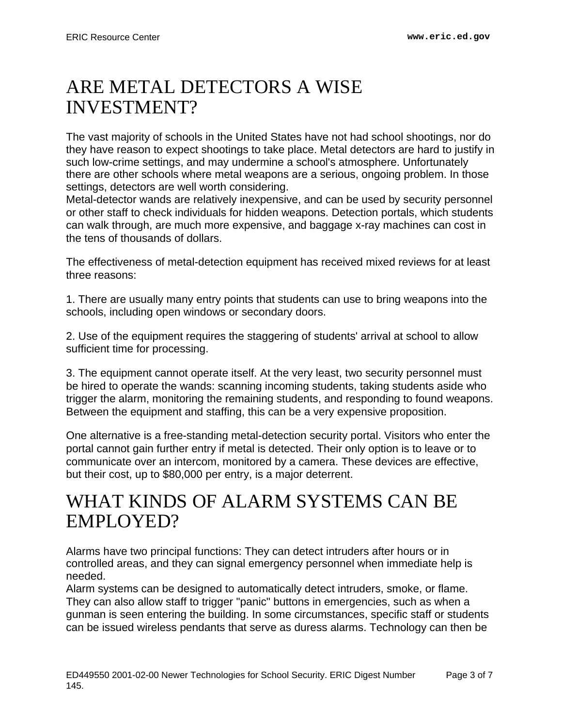## <span id="page-2-0"></span>ARE METAL DETECTORS A WISE INVESTMENT?

The vast majority of schools in the United States have not had school shootings, nor do they have reason to expect shootings to take place. Metal detectors are hard to justify in such low-crime settings, and may undermine a school's atmosphere. Unfortunately there are other schools where metal weapons are a serious, ongoing problem. In those settings, detectors are well worth considering.

Metal-detector wands are relatively inexpensive, and can be used by security personnel or other staff to check individuals for hidden weapons. Detection portals, which students can walk through, are much more expensive, and baggage x-ray machines can cost in the tens of thousands of dollars.

The effectiveness of metal-detection equipment has received mixed reviews for at least three reasons:

1. There are usually many entry points that students can use to bring weapons into the schools, including open windows or secondary doors.

2. Use of the equipment requires the staggering of students' arrival at school to allow sufficient time for processing.

3. The equipment cannot operate itself. At the very least, two security personnel must be hired to operate the wands: scanning incoming students, taking students aside who trigger the alarm, monitoring the remaining students, and responding to found weapons. Between the equipment and staffing, this can be a very expensive proposition.

One alternative is a free-standing metal-detection security portal. Visitors who enter the portal cannot gain further entry if metal is detected. Their only option is to leave or to communicate over an intercom, monitored by a camera. These devices are effective, but their cost, up to \$80,000 per entry, is a major deterrent.

## <span id="page-2-1"></span>WHAT KINDS OF ALARM SYSTEMS CAN BE EMPLOYED?

Alarms have two principal functions: They can detect intruders after hours or in controlled areas, and they can signal emergency personnel when immediate help is needed.

Alarm systems can be designed to automatically detect intruders, smoke, or flame. They can also allow staff to trigger "panic" buttons in emergencies, such as when a gunman is seen entering the building. In some circumstances, specific staff or students can be issued wireless pendants that serve as duress alarms. Technology can then be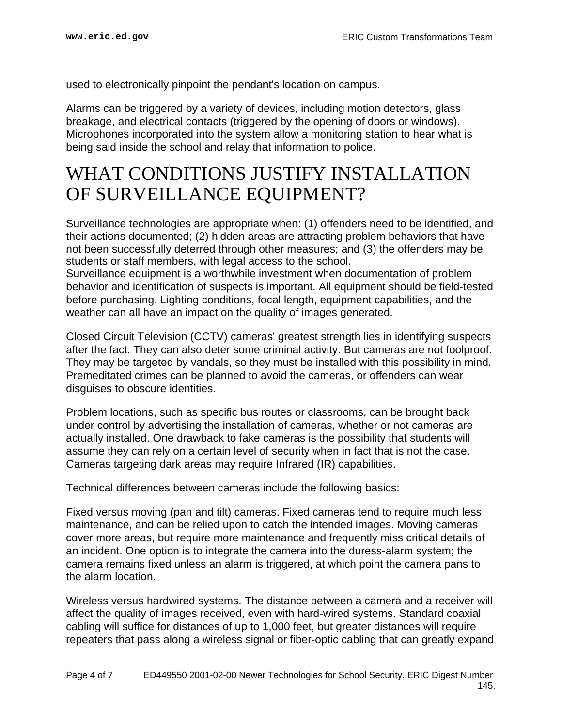used to electronically pinpoint the pendant's location on campus.

Alarms can be triggered by a variety of devices, including motion detectors, glass breakage, and electrical contacts (triggered by the opening of doors or windows). Microphones incorporated into the system allow a monitoring station to hear what is being said inside the school and relay that information to police.

#### <span id="page-3-0"></span>WHAT CONDITIONS JUSTIFY INSTALLATION OF SURVEILLANCE EQUIPMENT?

Surveillance technologies are appropriate when: (1) offenders need to be identified, and their actions documented; (2) hidden areas are attracting problem behaviors that have not been successfully deterred through other measures; and (3) the offenders may be students or staff members, with legal access to the school.

Surveillance equipment is a worthwhile investment when documentation of problem behavior and identification of suspects is important. All equipment should be field-tested before purchasing. Lighting conditions, focal length, equipment capabilities, and the weather can all have an impact on the quality of images generated.

Closed Circuit Television (CCTV) cameras' greatest strength lies in identifying suspects after the fact. They can also deter some criminal activity. But cameras are not foolproof. They may be targeted by vandals, so they must be installed with this possibility in mind. Premeditated crimes can be planned to avoid the cameras, or offenders can wear disguises to obscure identities.

Problem locations, such as specific bus routes or classrooms, can be brought back under control by advertising the installation of cameras, whether or not cameras are actually installed. One drawback to fake cameras is the possibility that students will assume they can rely on a certain level of security when in fact that is not the case. Cameras targeting dark areas may require Infrared (IR) capabilities.

Technical differences between cameras include the following basics:

Fixed versus moving (pan and tilt) cameras. Fixed cameras tend to require much less maintenance, and can be relied upon to catch the intended images. Moving cameras cover more areas, but require more maintenance and frequently miss critical details of an incident. One option is to integrate the camera into the duress-alarm system; the camera remains fixed unless an alarm is triggered, at which point the camera pans to the alarm location.

Wireless versus hardwired systems. The distance between a camera and a receiver will affect the quality of images received, even with hard-wired systems. Standard coaxial cabling will suffice for distances of up to 1,000 feet, but greater distances will require repeaters that pass along a wireless signal or fiber-optic cabling that can greatly expand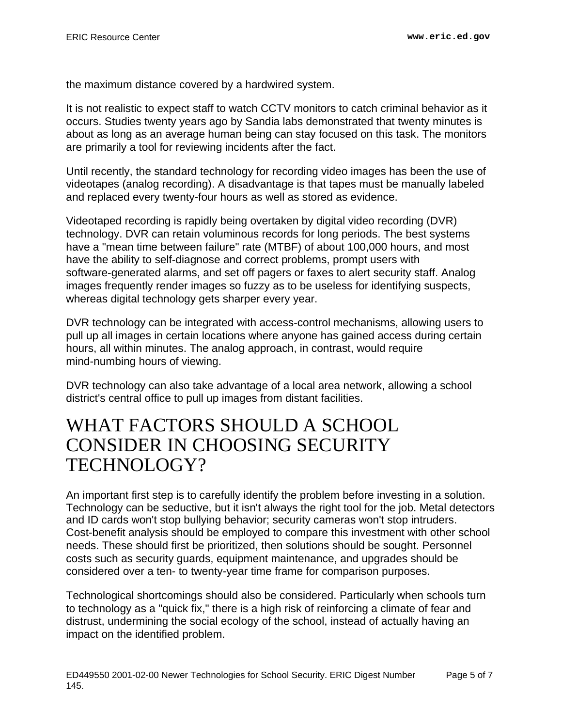the maximum distance covered by a hardwired system.

It is not realistic to expect staff to watch CCTV monitors to catch criminal behavior as it occurs. Studies twenty years ago by Sandia labs demonstrated that twenty minutes is about as long as an average human being can stay focused on this task. The monitors are primarily a tool for reviewing incidents after the fact.

Until recently, the standard technology for recording video images has been the use of videotapes (analog recording). A disadvantage is that tapes must be manually labeled and replaced every twenty-four hours as well as stored as evidence.

Videotaped recording is rapidly being overtaken by digital video recording (DVR) technology. DVR can retain voluminous records for long periods. The best systems have a "mean time between failure" rate (MTBF) of about 100,000 hours, and most have the ability to self-diagnose and correct problems, prompt users with software-generated alarms, and set off pagers or faxes to alert security staff. Analog images frequently render images so fuzzy as to be useless for identifying suspects, whereas digital technology gets sharper every year.

DVR technology can be integrated with access-control mechanisms, allowing users to pull up all images in certain locations where anyone has gained access during certain hours, all within minutes. The analog approach, in contrast, would require mind-numbing hours of viewing.

DVR technology can also take advantage of a local area network, allowing a school district's central office to pull up images from distant facilities.

#### <span id="page-4-0"></span>WHAT FACTORS SHOULD A SCHOOL CONSIDER IN CHOOSING SECURITY TECHNOLOGY?

An important first step is to carefully identify the problem before investing in a solution. Technology can be seductive, but it isn't always the right tool for the job. Metal detectors and ID cards won't stop bullying behavior; security cameras won't stop intruders. Cost-benefit analysis should be employed to compare this investment with other school needs. These should first be prioritized, then solutions should be sought. Personnel costs such as security guards, equipment maintenance, and upgrades should be considered over a ten- to twenty-year time frame for comparison purposes.

Technological shortcomings should also be considered. Particularly when schools turn to technology as a "quick fix," there is a high risk of reinforcing a climate of fear and distrust, undermining the social ecology of the school, instead of actually having an impact on the identified problem.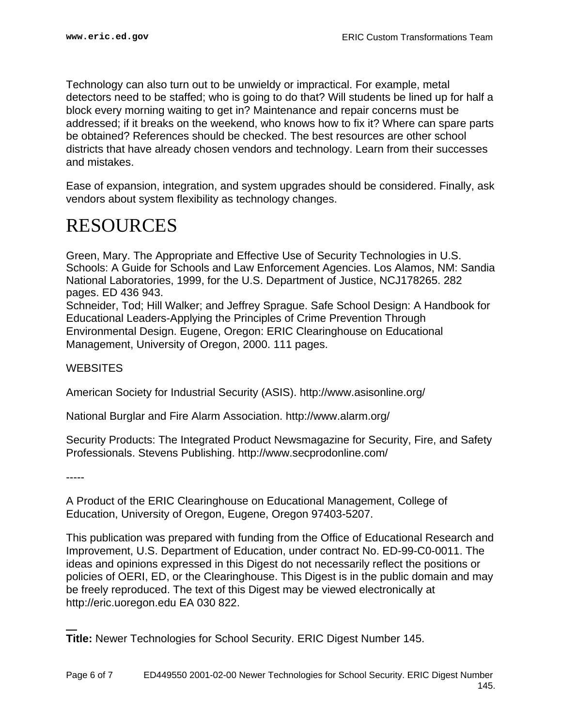Technology can also turn out to be unwieldy or impractical. For example, metal detectors need to be staffed; who is going to do that? Will students be lined up for half a block every morning waiting to get in? Maintenance and repair concerns must be addressed; if it breaks on the weekend, who knows how to fix it? Where can spare parts be obtained? References should be checked. The best resources are other school districts that have already chosen vendors and technology. Learn from their successes and mistakes.

Ease of expansion, integration, and system upgrades should be considered. Finally, ask vendors about system flexibility as technology changes.

#### <span id="page-5-0"></span>RESOURCES

Green, Mary. The Appropriate and Effective Use of Security Technologies in U.S. Schools: A Guide for Schools and Law Enforcement Agencies. Los Alamos, NM: Sandia National Laboratories, 1999, for the U.S. Department of Justice, NCJ178265. 282 pages. ED 436 943. Schneider, Tod; Hill Walker; and Jeffrey Sprague. Safe School Design: A Handbook for Educational Leaders-Applying the Principles of Crime Prevention Through Environmental Design. Eugene, Oregon: ERIC Clearinghouse on Educational Management, University of Oregon, 2000. 111 pages.

#### **WEBSITES**

American Society for Industrial Security (ASIS). http://www.asisonline.org/

National Burglar and Fire Alarm Association. http://www.alarm.org/

Security Products: The Integrated Product Newsmagazine for Security, Fire, and Safety Professionals. Stevens Publishing. http://www.secprodonline.com/

-----

A Product of the ERIC Clearinghouse on Educational Management, College of Education, University of Oregon, Eugene, Oregon 97403-5207.

This publication was prepared with funding from the Office of Educational Research and Improvement, U.S. Department of Education, under contract No. ED-99-C0-0011. The ideas and opinions expressed in this Digest do not necessarily reflect the positions or policies of OERI, ED, or the Clearinghouse. This Digest is in the public domain and may be freely reproduced. The text of this Digest may be viewed electronically at http://eric.uoregon.edu EA 030 822.

**Title:** Newer Technologies for School Security. ERIC Digest Number 145.